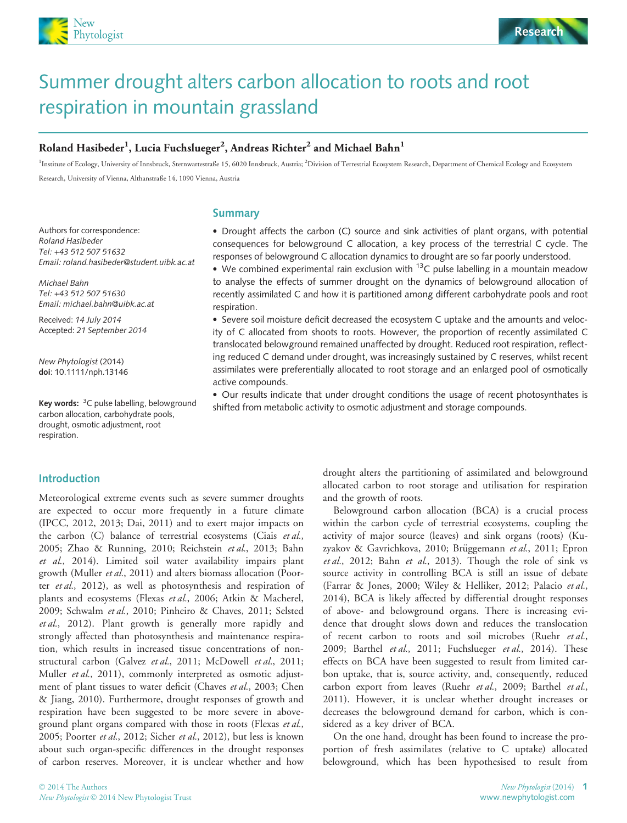



# Summer drought alters carbon allocation to roots and root respiration in mountain grassland

# Roland Hasibeder $^1$ , Lucia Fuchslueger $^2$ , Andreas Richter $^2$  and Michael Bahn $^1$

<sup>1</sup>Institute of Ecology, University of Innsbruck, Sternwartestraße 15, 6020 Innsbruck, Austria; <sup>2</sup>Division of Terrestrial Ecosystem Research, Department of Chemical Ecology and Ecosystem Research, University of Vienna, Althanstraße 14, 1090 Vienna, Austria

#### Summary

Authors for correspondence: Roland Hasibeder Tel: +43 512 507 51632 Email: roland.hasibeder@student.uibk.ac.at

Michael Bahn Tel: +43 512 507 51630 Email: michael.bahn@uibk.ac.at

Received: 14 July 2014 Accepted: 21 September 2014

New Phytologist (2014) doi: 10.1111/nph.13146

Introduction

Key words: <sup>3</sup>C pulse labelling, belowground carbon allocation, carbohydrate pools, drought, osmotic adjustment, root respiration.

• Drought affects the carbon (C) source and sink activities of plant organs, with potential consequences for belowground C allocation, a key process of the terrestrial C cycle. The responses of belowground C allocation dynamics to drought are so far poorly understood.

• We combined experimental rain exclusion with  $13C$  pulse labelling in a mountain meadow to analyse the effects of summer drought on the dynamics of belowground allocation of recently assimilated C and how it is partitioned among different carbohydrate pools and root respiration.

 Severe soil moisture deficit decreased the ecosystem C uptake and the amounts and velocity of C allocated from shoots to roots. However, the proportion of recently assimilated C translocated belowground remained unaffected by drought. Reduced root respiration, reflecting reduced C demand under drought, was increasingly sustained by C reserves, whilst recent assimilates were preferentially allocated to root storage and an enlarged pool of osmotically active compounds.

 Our results indicate that under drought conditions the usage of recent photosynthates is shifted from metabolic activity to osmotic adjustment and storage compounds.

Meteorological extreme events such as severe summer droughts are expected to occur more frequently in a future climate (IPCC, 2012, 2013; Dai, 2011) and to exert major impacts on the carbon (C) balance of terrestrial ecosystems (Ciais et al., 2005; Zhao & Running, 2010; Reichstein et al., 2013; Bahn et al., 2014). Limited soil water availability impairs plant growth (Muller et al., 2011) and alters biomass allocation (Poorter et al., 2012), as well as photosynthesis and respiration of plants and ecosystems (Flexas et al., 2006; Atkin & Macherel, 2009; Schwalm et al., 2010; Pinheiro & Chaves, 2011; Selsted et al., 2012). Plant growth is generally more rapidly and strongly affected than photosynthesis and maintenance respiration, which results in increased tissue concentrations of nonstructural carbon (Galvez et al., 2011; McDowell et al., 2011; Muller et al., 2011), commonly interpreted as osmotic adjustment of plant tissues to water deficit (Chaves et al., 2003; Chen & Jiang, 2010). Furthermore, drought responses of growth and respiration have been suggested to be more severe in aboveground plant organs compared with those in roots (Flexas et al., 2005; Poorter et al., 2012; Sicher et al., 2012), but less is known about such organ-specific differences in the drought responses of carbon reserves. Moreover, it is unclear whether and how

© 2014 The Authors New Phytologist © 2014 New Phytologist Trust drought alters the partitioning of assimilated and belowground allocated carbon to root storage and utilisation for respiration and the growth of roots.

Belowground carbon allocation (BCA) is a crucial process within the carbon cycle of terrestrial ecosystems, coupling the activity of major source (leaves) and sink organs (roots) (Kuzyakov & Gavrichkova, 2010; Brüggemann et al., 2011; Epron et al., 2012; Bahn et al., 2013). Though the role of sink vs source activity in controlling BCA is still an issue of debate (Farrar & Jones, 2000; Wiley & Helliker, 2012; Palacio et al., 2014), BCA is likely affected by differential drought responses of above- and belowground organs. There is increasing evidence that drought slows down and reduces the translocation of recent carbon to roots and soil microbes (Ruehr et al., 2009; Barthel et al., 2011; Fuchslueger et al., 2014). These effects on BCA have been suggested to result from limited carbon uptake, that is, source activity, and, consequently, reduced carbon export from leaves (Ruehr et al., 2009; Barthel et al., 2011). However, it is unclear whether drought increases or decreases the belowground demand for carbon, which is considered as a key driver of BCA.

On the one hand, drought has been found to increase the proportion of fresh assimilates (relative to C uptake) allocated belowground, which has been hypothesised to result from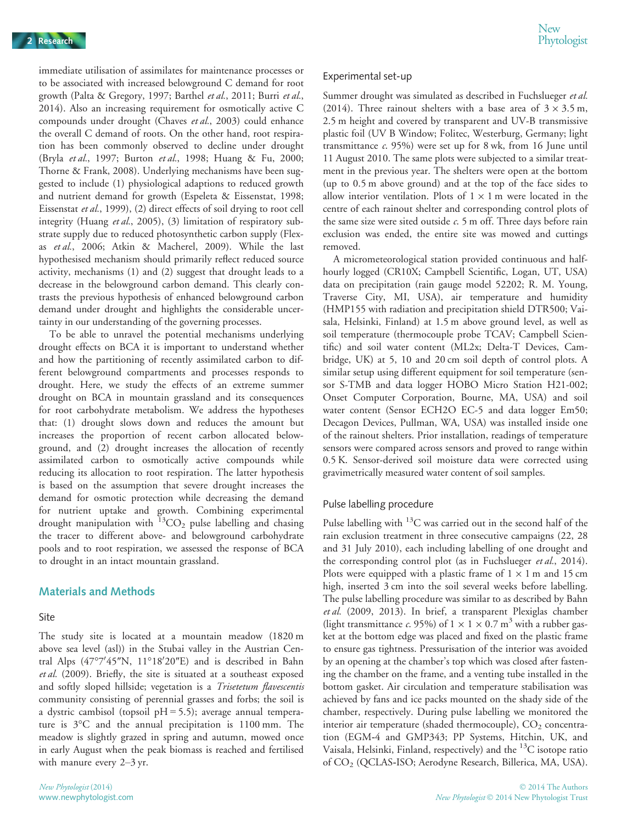immediate utilisation of assimilates for maintenance processes or to be associated with increased belowground C demand for root growth (Palta & Gregory, 1997; Barthel et al., 2011; Burri et al., 2014). Also an increasing requirement for osmotically active C compounds under drought (Chaves et al., 2003) could enhance the overall C demand of roots. On the other hand, root respiration has been commonly observed to decline under drought (Bryla et al., 1997; Burton et al., 1998; Huang & Fu, 2000; Thorne & Frank, 2008). Underlying mechanisms have been suggested to include (1) physiological adaptions to reduced growth and nutrient demand for growth (Espeleta & Eissenstat, 1998; Eissenstat et al., 1999), (2) direct effects of soil drying to root cell integrity (Huang et al., 2005), (3) limitation of respiratory substrate supply due to reduced photosynthetic carbon supply (Flexas et al., 2006; Atkin & Macherel, 2009). While the last hypothesised mechanism should primarily reflect reduced source activity, mechanisms (1) and (2) suggest that drought leads to a decrease in the belowground carbon demand. This clearly contrasts the previous hypothesis of enhanced belowground carbon demand under drought and highlights the considerable uncertainty in our understanding of the governing processes.

To be able to unravel the potential mechanisms underlying drought effects on BCA it is important to understand whether and how the partitioning of recently assimilated carbon to different belowground compartments and processes responds to drought. Here, we study the effects of an extreme summer drought on BCA in mountain grassland and its consequences for root carbohydrate metabolism. We address the hypotheses that: (1) drought slows down and reduces the amount but increases the proportion of recent carbon allocated belowground, and (2) drought increases the allocation of recently assimilated carbon to osmotically active compounds while reducing its allocation to root respiration. The latter hypothesis is based on the assumption that severe drought increases the demand for osmotic protection while decreasing the demand for nutrient uptake and growth. Combining experimental drought manipulation with  ${}^{13}CO_2$  pulse labelling and chasing the tracer to different above- and belowground carbohydrate pools and to root respiration, we assessed the response of BCA to drought in an intact mountain grassland.

### Materials and Methods

#### Site

The study site is located at a mountain meadow (1820 m above sea level (asl)) in the Stubai valley in the Austrian Central Alps (47°7'45"N, 11°18'20"E) and is described in Bahn et al. (2009). Briefly, the site is situated at a southeast exposed and softly sloped hillside; vegetation is a Trisetetum flavescentis community consisting of perennial grasses and forbs; the soil is a dystric cambisol (topsoil  $pH = 5.5$ ); average annual temperature is 3°C and the annual precipitation is 1100 mm. The meadow is slightly grazed in spring and autumn, mowed once in early August when the peak biomass is reached and fertilised with manure every 2–3 yr.

#### Experimental set-up

Summer drought was simulated as described in Fuchslueger et al. (2014). Three rainout shelters with a base area of  $3 \times 3.5$  m, 2.5 m height and covered by transparent and UV-B transmissive plastic foil (UV B Window; Folitec, Westerburg, Germany; light transmittance  $c$ . 95%) were set up for 8 wk, from 16 June until 11 August 2010. The same plots were subjected to a similar treatment in the previous year. The shelters were open at the bottom (up to 0.5 m above ground) and at the top of the face sides to allow interior ventilation. Plots of  $1 \times 1$  m were located in the centre of each rainout shelter and corresponding control plots of the same size were sited outside  $c$ . 5 m off. Three days before rain exclusion was ended, the entire site was mowed and cuttings removed.

A micrometeorological station provided continuous and halfhourly logged (CR10X; Campbell Scientific, Logan, UT, USA) data on precipitation (rain gauge model 52202; R. M. Young, Traverse City, MI, USA), air temperature and humidity (HMP155 with radiation and precipitation shield DTR500; Vaisala, Helsinki, Finland) at 1.5 m above ground level, as well as soil temperature (thermocouple probe TCAV; Campbell Scientific) and soil water content (ML2x; Delta-T Devices, Cambridge, UK) at 5, 10 and 20 cm soil depth of control plots. A similar setup using different equipment for soil temperature (sensor S-TMB and data logger HOBO Micro Station H21-002; Onset Computer Corporation, Bourne, MA, USA) and soil water content (Sensor ECH2O EC-5 and data logger Em50; Decagon Devices, Pullman, WA, USA) was installed inside one of the rainout shelters. Prior installation, readings of temperature sensors were compared across sensors and proved to range within 0.5 K. Sensor-derived soil moisture data were corrected using gravimetrically measured water content of soil samples.

#### Pulse labelling procedure

Pulse labelling with  $^{13}$ C was carried out in the second half of the rain exclusion treatment in three consecutive campaigns (22, 28 and 31 July 2010), each including labelling of one drought and the corresponding control plot (as in Fuchslueger et al., 2014). Plots were equipped with a plastic frame of  $1 \times 1$  m and 15 cm high, inserted 3 cm into the soil several weeks before labelling. The pulse labelling procedure was similar to as described by Bahn et al. (2009, 2013). In brief, a transparent Plexiglas chamber (light transmittance c. 95%) of  $1 \times 1 \times 0.7$  m<sup>3</sup> with a rubber gasket at the bottom edge was placed and fixed on the plastic frame to ensure gas tightness. Pressurisation of the interior was avoided by an opening at the chamber's top which was closed after fastening the chamber on the frame, and a venting tube installed in the bottom gasket. Air circulation and temperature stabilisation was achieved by fans and ice packs mounted on the shady side of the chamber, respectively. During pulse labelling we monitored the interior air temperature (shaded thermocouple),  $CO<sub>2</sub>$  concentration (EGM-4 and GMP343; PP Systems, Hitchin, UK, and Vaisala, Helsinki, Finland, respectively) and the  ${}^{13}C$  isotope ratio of CO2 (QCLAS-ISO; Aerodyne Research, Billerica, MA, USA).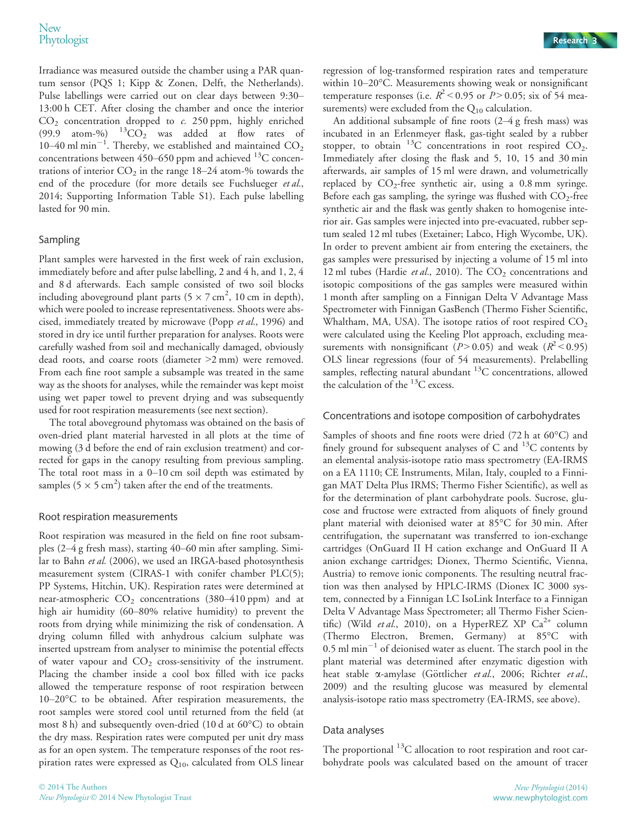Irradiance was measured outside the chamber using a PAR quantum sensor (PQS 1; Kipp & Zonen, Delft, the Netherlands). Pulse labellings were carried out on clear days between 9:30– 13:00 h CET. After closing the chamber and once the interior  $CO<sub>2</sub>$  concentration dropped to c. 250 ppm, highly enriched (99.9 atom-%)  $^{13}CO_2$  was added at flow rates of 10–40 ml min<sup>-1</sup>. Thereby, we established and maintained  $CO_2$ concentrations between  $450-650$  ppm and achieved  $^{13}$ C concentrations of interior  $CO<sub>2</sub>$  in the range 18–24 atom-% towards the end of the procedure (for more details see Fuchslueger et al., 2014; Supporting Information Table S1). Each pulse labelling lasted for 90 min.

#### Sampling

Plant samples were harvested in the first week of rain exclusion, immediately before and after pulse labelling, 2 and 4 h, and 1, 2, 4 and 8 d afterwards. Each sample consisted of two soil blocks including aboveground plant parts (5  $\times$  7 cm<sup>2</sup>, 10 cm in depth), which were pooled to increase representativeness. Shoots were abscised, immediately treated by microwave (Popp et al., 1996) and stored in dry ice until further preparation for analyses. Roots were carefully washed from soil and mechanically damaged, obviously dead roots, and coarse roots (diameter >2 mm) were removed. From each fine root sample a subsample was treated in the same way as the shoots for analyses, while the remainder was kept moist using wet paper towel to prevent drying and was subsequently used for root respiration measurements (see next section).

The total aboveground phytomass was obtained on the basis of oven-dried plant material harvested in all plots at the time of mowing (3 d before the end of rain exclusion treatment) and corrected for gaps in the canopy resulting from previous sampling. The total root mass in a 0–10 cm soil depth was estimated by samples (5  $\times$  5 cm<sup>2</sup>) taken after the end of the treatments.

#### Root respiration measurements

Root respiration was measured in the field on fine root subsamples (2–4 g fresh mass), starting 40–60 min after sampling. Similar to Bahn et al. (2006), we used an IRGA-based photosynthesis measurement system (CIRAS-1 with conifer chamber PLC(5); PP Systems, Hitchin, UK). Respiration rates were determined at near-atmospheric  $CO<sub>2</sub>$  concentrations (380–410 ppm) and at high air humidity (60–80% relative humidity) to prevent the roots from drying while minimizing the risk of condensation. A drying column filled with anhydrous calcium sulphate was inserted upstream from analyser to minimise the potential effects of water vapour and  $CO<sub>2</sub>$  cross-sensitivity of the instrument. Placing the chamber inside a cool box filled with ice packs allowed the temperature response of root respiration between 10–20°C to be obtained. After respiration measurements, the root samples were stored cool until returned from the field (at most 8 h) and subsequently oven-dried (10 d at 60°C) to obtain the dry mass. Respiration rates were computed per unit dry mass as for an open system. The temperature responses of the root respiration rates were expressed as  $Q_{10}$ , calculated from OLS linear

regression of log-transformed respiration rates and temperature within 10–20°C. Measurements showing weak or nonsignificant temperature responses (i.e.  $R^2$  < 0.95 or  $P > 0.05$ ; six of 54 measurements) were excluded from the  $Q_{10}$  calculation.

An additional subsample of fine roots (2–4 g fresh mass) was incubated in an Erlenmeyer flask, gas-tight sealed by a rubber stopper, to obtain  $^{13}$ C concentrations in root respired CO<sub>2</sub>. Immediately after closing the flask and 5, 10, 15 and 30 min afterwards, air samples of 15 ml were drawn, and volumetrically replaced by  $CO_2$ -free synthetic air, using a 0.8 mm syringe. Before each gas sampling, the syringe was flushed with  $CO<sub>2</sub>$ -free synthetic air and the flask was gently shaken to homogenise interior air. Gas samples were injected into pre-evacuated, rubber septum sealed 12 ml tubes (Exetainer; Labco, High Wycombe, UK). In order to prevent ambient air from entering the exetainers, the gas samples were pressurised by injecting a volume of 15 ml into 12 ml tubes (Hardie et al., 2010). The  $CO<sub>2</sub>$  concentrations and isotopic compositions of the gas samples were measured within 1 month after sampling on a Finnigan Delta V Advantage Mass Spectrometer with Finnigan GasBench (Thermo Fisher Scientific, Whaltham, MA, USA). The isotope ratios of root respired  $CO<sub>2</sub>$ were calculated using the Keeling Plot approach, excluding measurements with nonsignificant ( $P > 0.05$ ) and weak ( $R^2 < 0.95$ ) OLS linear regressions (four of 54 measurements). Prelabelling samples, reflecting natural abundant <sup>13</sup>C concentrations, allowed the calculation of the 13C excess.

#### Concentrations and isotope composition of carbohydrates

Samples of shoots and fine roots were dried (72 h at 60°C) and finely ground for subsequent analyses of C and  $^{13}$ C contents by an elemental analysis-isotope ratio mass spectrometry (EA-IRMS on a EA 1110; CE Instruments, Milan, Italy, coupled to a Finnigan MAT Delta Plus IRMS; Thermo Fisher Scientific), as well as for the determination of plant carbohydrate pools. Sucrose, glucose and fructose were extracted from aliquots of finely ground plant material with deionised water at 85°C for 30 min. After centrifugation, the supernatant was transferred to ion-exchange cartridges (OnGuard II H cation exchange and OnGuard II A anion exchange cartridges; Dionex, Thermo Scientific, Vienna, Austria) to remove ionic components. The resulting neutral fraction was then analysed by HPLC-IRMS (Dionex IC 3000 system, connected by a Finnigan LC IsoLink Interface to a Finnigan Delta V Advantage Mass Spectrometer; all Thermo Fisher Scientific) (Wild et al., 2010), on a HyperREZ XP  $Ca^{2+}$  column (Thermo Electron, Bremen, Germany) at 85°C with  $0.5$  ml min $^{-1}$  of deionised water as eluent. The starch pool in the plant material was determined after enzymatic digestion with heat stable α-amylase (Göttlicher et al., 2006; Richter et al., 2009) and the resulting glucose was measured by elemental analysis-isotope ratio mass spectrometry (EA-IRMS, see above).

#### Data analyses

The proportional  $^{13}$ C allocation to root respiration and root carbohydrate pools was calculated based on the amount of tracer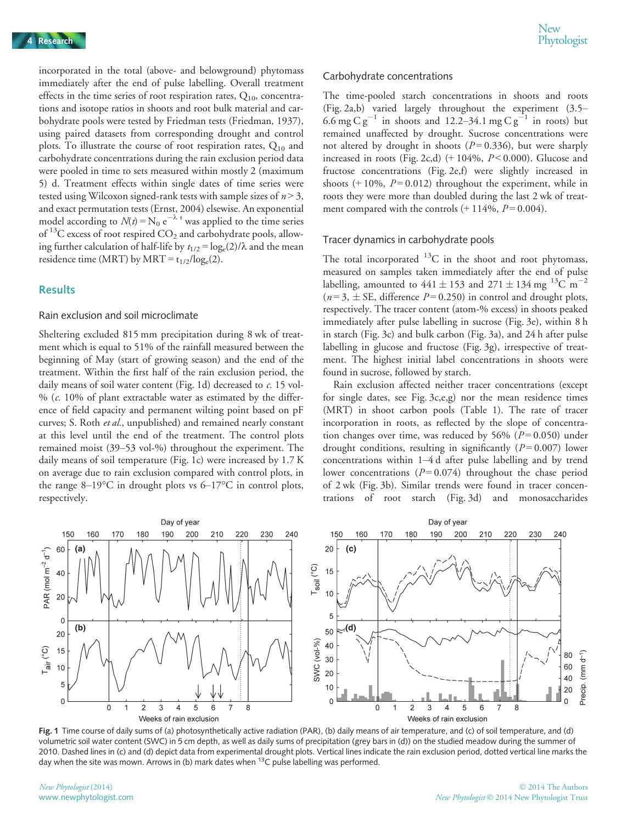incorporated in the total (above- and belowground) phytomass immediately after the end of pulse labelling. Overall treatment effects in the time series of root respiration rates,  $Q_{10}$ , concentrations and isotope ratios in shoots and root bulk material and carbohydrate pools were tested by Friedman tests (Friedman, 1937), using paired datasets from corresponding drought and control plots. To illustrate the course of root respiration rates,  $Q_{10}$  and carbohydrate concentrations during the rain exclusion period data were pooled in time to sets measured within mostly 2 (maximum 5) d. Treatment effects within single dates of time series were tested using Wilcoxon signed-rank tests with sample sizes of  $n > 3$ , and exact permutation tests (Ernst, 2004) elsewise. An exponential model according to  $N(t) = N_0 e^{-\lambda t}$  was applied to the time series of  $^{13}$ C excess of root respired CO<sub>2</sub> and carbohydrate pools, allowing further calculation of half-life by  $t_{1/2} = \log_e(2)/\lambda$  and the mean residence time (MRT) by MRT =  $t_{1/2}/\log_e(2)$ .

### Results

#### Rain exclusion and soil microclimate

Sheltering excluded 815 mm precipitation during 8 wk of treatment which is equal to 51% of the rainfall measured between the beginning of May (start of growing season) and the end of the treatment. Within the first half of the rain exclusion period, the daily means of soil water content (Fig. 1d) decreased to c. 15 vol- %  $(c. 10\%$  of plant extractable water as estimated by the difference of field capacity and permanent wilting point based on pF curves; S. Roth et al., unpublished) and remained nearly constant at this level until the end of the treatment. The control plots remained moist (39–53 vol-%) throughout the experiment. The daily means of soil temperature (Fig. 1c) were increased by 1.7 K on average due to rain exclusion compared with control plots, in the range 8–19°C in drought plots vs 6–17°C in control plots, respectively.

#### Carbohydrate concentrations

The time-pooled starch concentrations in shoots and roots (Fig. 2a,b) varied largely throughout the experiment (3.5– 6.6 mg C  $g^{-1}$  in shoots and 12.2–34.1 mg C  $g^{-1}$  in roots) but remained unaffected by drought. Sucrose concentrations were not altered by drought in shoots ( $P = 0.336$ ), but were sharply increased in roots (Fig. 2c,d)  $(+104\%, P<0.000)$ . Glucose and fructose concentrations (Fig. 2e,f) were slightly increased in shoots  $(+10\%, P=0.012)$  throughout the experiment, while in roots they were more than doubled during the last 2 wk of treatment compared with the controls  $(+ 114\%, P = 0.004)$ .

#### Tracer dynamics in carbohydrate pools

The total incorporated  $^{13}$ C in the shoot and root phytomass, measured on samples taken immediately after the end of pulse labelling, amounted to  $441 \pm 153$  and  $271 \pm 134$  mg <sup>13</sup>C m<sup>-2</sup>  $(n=3, \pm \text{SE}, \text{ difference } P=0.250)$  in control and drought plots, respectively. The tracer content (atom-% excess) in shoots peaked immediately after pulse labelling in sucrose (Fig. 3e), within 8 h in starch (Fig. 3c) and bulk carbon (Fig. 3a), and 24 h after pulse labelling in glucose and fructose (Fig. 3g), irrespective of treatment. The highest initial label concentrations in shoots were found in sucrose, followed by starch.

Rain exclusion affected neither tracer concentrations (except for single dates, see Fig. 3c,e,g) nor the mean residence times (MRT) in shoot carbon pools (Table 1). The rate of tracer incorporation in roots, as reflected by the slope of concentration changes over time, was reduced by 56% ( $P = 0.050$ ) under drought conditions, resulting in significantly  $(P=0.007)$  lower concentrations within 1–4 d after pulse labelling and by trend lower concentrations  $(P=0.074)$  throughout the chase period of 2 wk (Fig. 3b). Similar trends were found in tracer concentrations of root starch (Fig. 3d) and monosaccharides



Fig. 1 Time course of daily sums of (a) photosynthetically active radiation (PAR), (b) daily means of air temperature, and (c) of soil temperature, and (d) volumetric soil water content (SWC) in 5 cm depth, as well as daily sums of precipitation (grey bars in (d)) on the studied meadow during the summer of 2010. Dashed lines in (c) and (d) depict data from experimental drought plots. Vertical lines indicate the rain exclusion period, dotted vertical line marks the day when the site was mown. Arrows in (b) mark dates when  $^{13}$ C pulse labelling was performed.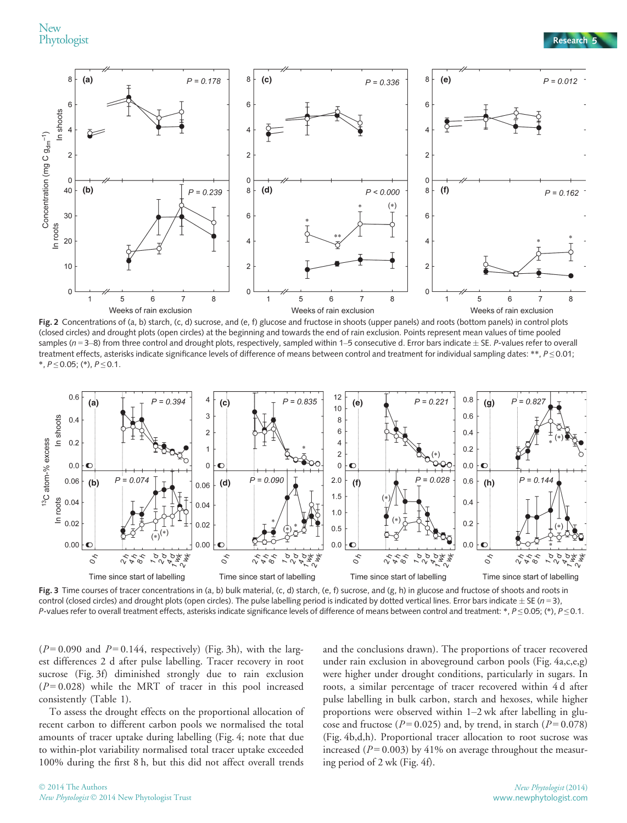New<br>Phytologist



Fig. 2 Concentrations of (a, b) starch, (c, d) sucrose, and (e, f) glucose and fructose in shoots (upper panels) and roots (bottom panels) in control plots (closed circles) and drought plots (open circles) at the beginning and towards the end of rain exclusion. Points represent mean values of time pooled samples ( $n = 3-8$ ) from three control and drought plots, respectively, sampled within 1–5 consecutive d. Error bars indicate  $\pm$  SE. P-values refer to overall treatment effects, asterisks indicate significance levels of difference of means between control and treatment for individual sampling dates: \*\*,  $P \le 0.01$ ;  $*$ ,  $P \le 0.05$ ; (\*),  $P \le 0.1$ .



Fig. 3 Time courses of tracer concentrations in (a, b) bulk material, (c, d) starch, (e, f) sucrose, and (g, h) in glucose and fructose of shoots and roots in control (closed circles) and drought plots (open circles). The pulse labelling period is indicated by dotted vertical lines. Error bars indicate  $\pm$  SE (n = 3), P-values refer to overall treatment effects, asterisks indicate significance levels of difference of means between control and treatment: \*,  $P \le 0.05$ ; (\*),  $P \le 0.1$ .

 $(P=0.090$  and  $P=0.144$ , respectively) (Fig. 3h), with the largest differences 2 d after pulse labelling. Tracer recovery in root sucrose (Fig. 3f) diminished strongly due to rain exclusion  $(P=0.028)$  while the MRT of tracer in this pool increased consistently (Table 1).

To assess the drought effects on the proportional allocation of recent carbon to different carbon pools we normalised the total amounts of tracer uptake during labelling (Fig. 4; note that due to within-plot variability normalised total tracer uptake exceeded 100% during the first 8 h, but this did not affect overall trends

and the conclusions drawn). The proportions of tracer recovered under rain exclusion in aboveground carbon pools (Fig. 4a,c,e,g) were higher under drought conditions, particularly in sugars. In roots, a similar percentage of tracer recovered within 4 d after pulse labelling in bulk carbon, starch and hexoses, while higher proportions were observed within 1–2 wk after labelling in glucose and fructose ( $P = 0.025$ ) and, by trend, in starch ( $P = 0.078$ ) (Fig. 4b,d,h). Proportional tracer allocation to root sucrose was increased ( $P = 0.003$ ) by 41% on average throughout the measuring period of 2 wk (Fig. 4f).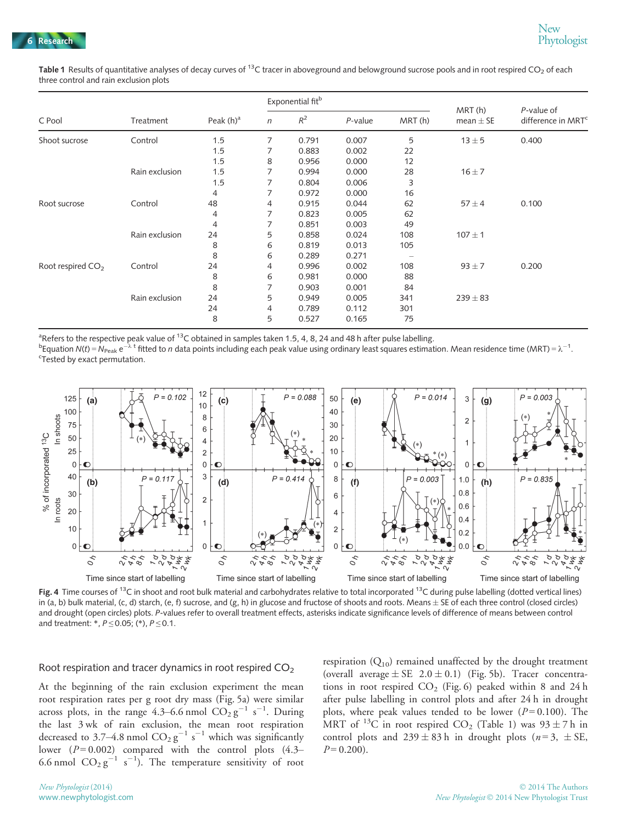Table 1 Results of quantitative analyses of decay curves of <sup>13</sup>C tracer in aboveground and belowground sucrose pools and in root respired CO<sub>2</sub> of each three control and rain exclusion plots

| C Pool                        | Treatment      | Peak $(h)^a$ | Exponential fit <sup>b</sup> |       |            |        |                         |                                              |
|-------------------------------|----------------|--------------|------------------------------|-------|------------|--------|-------------------------|----------------------------------------------|
|                               |                |              | $\eta$                       | $R^2$ | $P$ -value | MRT(h) | MRT(h)<br>mean $\pm$ SE | P-value of<br>difference in MRT <sup>c</sup> |
| Shoot sucrose                 | Control        | 1.5          | 7                            | 0.791 | 0.007      | 5      | $13 \pm 5$              | 0.400                                        |
|                               |                | 1.5          |                              | 0.883 | 0.002      | 22     |                         |                                              |
|                               |                | 1.5          | 8                            | 0.956 | 0.000      | 12     |                         |                                              |
|                               | Rain exclusion | 1.5          | 7                            | 0.994 | 0.000      | 28     | $16 \pm 7$              |                                              |
|                               |                | 1.5          | 7                            | 0.804 | 0.006      | 3      |                         |                                              |
|                               |                | 4            | 7                            | 0.972 | 0.000      | 16     |                         |                                              |
| Root sucrose                  | Control        | 48           | 4                            | 0.915 | 0.044      | 62     | $57 \pm 4$              | 0.100                                        |
|                               |                | 4            | 7                            | 0.823 | 0.005      | 62     |                         |                                              |
|                               |                | 4            | 7                            | 0.851 | 0.003      | 49     |                         |                                              |
|                               | Rain exclusion | 24           | 5                            | 0.858 | 0.024      | 108    | $107 \pm 1$             |                                              |
|                               |                | 8            | 6                            | 0.819 | 0.013      | 105    |                         |                                              |
|                               |                | 8            | 6                            | 0.289 | 0.271      |        |                         |                                              |
| Root respired CO <sub>2</sub> | Control        | 24           | $\overline{4}$               | 0.996 | 0.002      | 108    | $93 \pm 7$              | 0.200                                        |
|                               |                | 8            | 6                            | 0.981 | 0.000      | 88     |                         |                                              |
|                               |                | 8            | 7                            | 0.903 | 0.001      | 84     |                         |                                              |
|                               | Rain exclusion | 24           | 5                            | 0.949 | 0.005      | 341    | $239 \pm 83$            |                                              |
|                               |                | 24           | $\overline{4}$               | 0.789 | 0.112      | 301    |                         |                                              |
|                               |                | 8            | 5                            | 0.527 | 0.165      | 75     |                         |                                              |

<sup>a</sup>Refers to the respective peak value of <sup>13</sup>C obtained in samples taken 1.5, 4, 8, 24 and 48 h after pulse labelling.<br><sup>b</sup>Equation *N(t*) = *N*<sub>2 an</sub> e<sup>-</sup>  $\lambda$ <sup>t</sup> fitted to n data points including each peak value using o

<sup>b</sup>Equation N(t) = N<sub>Peak</sub> e<sup>-'</sup>^t fitted to n data points including each peak value using ordinary least squares estimation. Mean residence time (MRT) =  $\lambda^{-1}$ .<br><sup>c</sup>Iested by exact permutation Tested by exact permutation.



Fig. 4 Time courses of <sup>13</sup>C in shoot and root bulk material and carbohydrates relative to total incorporated <sup>13</sup>C during pulse labelling (dotted vertical lines) in (a, b) bulk material, (c, d) starch, (e, f) sucrose, and (g, h) in glucose and fructose of shoots and roots. Means  $\pm$  SE of each three control (closed circles) and drought (open circles) plots. P-values refer to overall treatment effects, asterisks indicate significance levels of difference of means between control and treatment: \*,  $P \le 0.05$ ; (\*),  $P \le 0.1$ .

#### Root respiration and tracer dynamics in root respired  $CO<sub>2</sub>$

At the beginning of the rain exclusion experiment the mean root respiration rates per g root dry mass (Fig. 5a) were similar across plots, in the range 4.3–6.6 nmol  $CO_2 g^{-1} s^{-1}$ . During the last 3 wk of rain exclusion, the mean root respiration decreased to 3.7–4.8 nmol  $CO_2 g^{-1} s^{-1}$  which was significantly lower  $(P=0.002)$  compared with the control plots  $(4.3-$ 6.6 nmol  $CO_2 g^{-1} s^{-1}$ ). The temperature sensitivity of root

respiration  $(Q_{10})$  remained unaffected by the drought treatment (overall average  $\pm$  SE 2.0  $\pm$  0.1) (Fig. 5b). Tracer concentrations in root respired  $CO<sub>2</sub>$  (Fig. 6) peaked within 8 and 24 h after pulse labelling in control plots and after 24 h in drought plots, where peak values tended to be lower ( $P = 0.100$ ). The MRT of <sup>13</sup>C in root respired CO<sub>2</sub> (Table 1) was  $93 \pm 7$  h in control plots and  $239 \pm 83$  h in drought plots ( $n=3, \pm SE$ ,  $P = 0.200$ ).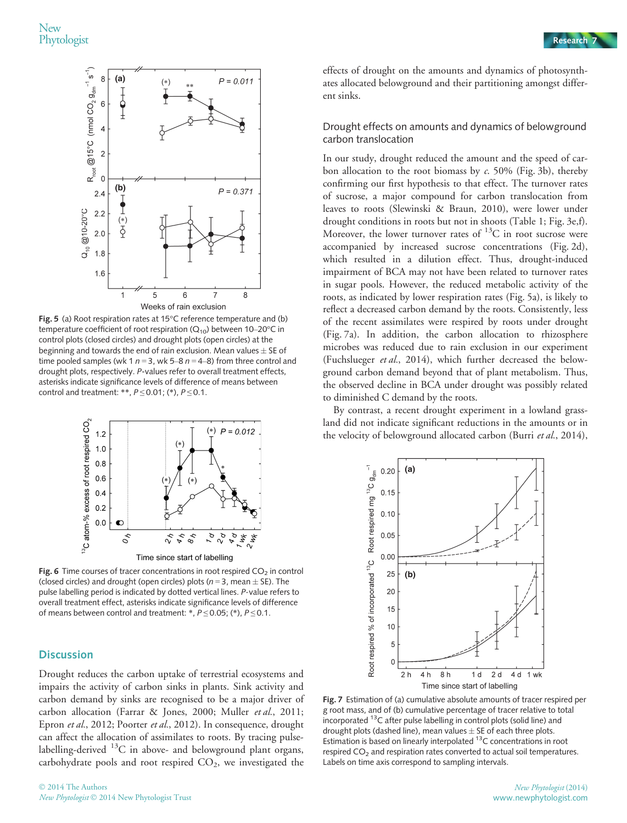

Fig. 5 (a) Root respiration rates at 15°C reference temperature and (b) temperature coefficient of root respiration  $(Q_{10})$  between 10–20°C in control plots (closed circles) and drought plots (open circles) at the beginning and towards the end of rain exclusion. Mean values  $\pm$  SE of time pooled samples (wk 1  $n = 3$ , wk 5–8  $n = 4-8$ ) from three control and drought plots, respectively. P-values refer to overall treatment effects, asterisks indicate significance levels of difference of means between control and treatment: \*\*,  $P \le 0.01$ ; (\*),  $P \le 0.1$ .



**Fig. 6** Time courses of tracer concentrations in root respired  $CO<sub>2</sub>$  in control (closed circles) and drought (open circles) plots ( $n = 3$ , mean  $\pm$  SE). The pulse labelling period is indicated by dotted vertical lines. P-value refers to overall treatment effect, asterisks indicate significance levels of difference of means between control and treatment: \*,  $P \le 0.05$ ; (\*),  $P \le 0.1$ .

#### **Discussion**

Drought reduces the carbon uptake of terrestrial ecosystems and impairs the activity of carbon sinks in plants. Sink activity and carbon demand by sinks are recognised to be a major driver of carbon allocation (Farrar & Jones, 2000; Muller et al., 2011; Epron et al., 2012; Poorter et al., 2012). In consequence, drought can affect the allocation of assimilates to roots. By tracing pulselabelling-derived <sup>13</sup>C in above- and belowground plant organs, carbohydrate pools and root respired CO<sub>2</sub>, we investigated the

effects of drought on the amounts and dynamics of photosynthates allocated belowground and their partitioning amongst different sinks.

#### Drought effects on amounts and dynamics of belowground carbon translocation

In our study, drought reduced the amount and the speed of carbon allocation to the root biomass by  $c$ . 50% (Fig. 3b), thereby confirming our first hypothesis to that effect. The turnover rates of sucrose, a major compound for carbon translocation from leaves to roots (Slewinski & Braun, 2010), were lower under drought conditions in roots but not in shoots (Table 1; Fig. 3e,f). Moreover, the lower turnover rates of  ${}^{13}C$  in root sucrose were accompanied by increased sucrose concentrations (Fig. 2d), which resulted in a dilution effect. Thus, drought-induced impairment of BCA may not have been related to turnover rates in sugar pools. However, the reduced metabolic activity of the roots, as indicated by lower respiration rates (Fig. 5a), is likely to reflect a decreased carbon demand by the roots. Consistently, less of the recent assimilates were respired by roots under drought (Fig. 7a). In addition, the carbon allocation to rhizosphere microbes was reduced due to rain exclusion in our experiment (Fuchslueger et al., 2014), which further decreased the belowground carbon demand beyond that of plant metabolism. Thus, the observed decline in BCA under drought was possibly related to diminished C demand by the roots.

By contrast, a recent drought experiment in a lowland grassland did not indicate significant reductions in the amounts or in the velocity of belowground allocated carbon (Burri et al., 2014),



Fig. 7 Estimation of (a) cumulative absolute amounts of tracer respired per g root mass, and of (b) cumulative percentage of tracer relative to total incorporated 13C after pulse labelling in control plots (solid line) and drought plots (dashed line), mean values  $\pm$  SE of each three plots. Estimation is based on linearly interpolated  $13C$  concentrations in root respired  $CO<sub>2</sub>$  and respiration rates converted to actual soil temperatures. Labels on time axis correspond to sampling intervals.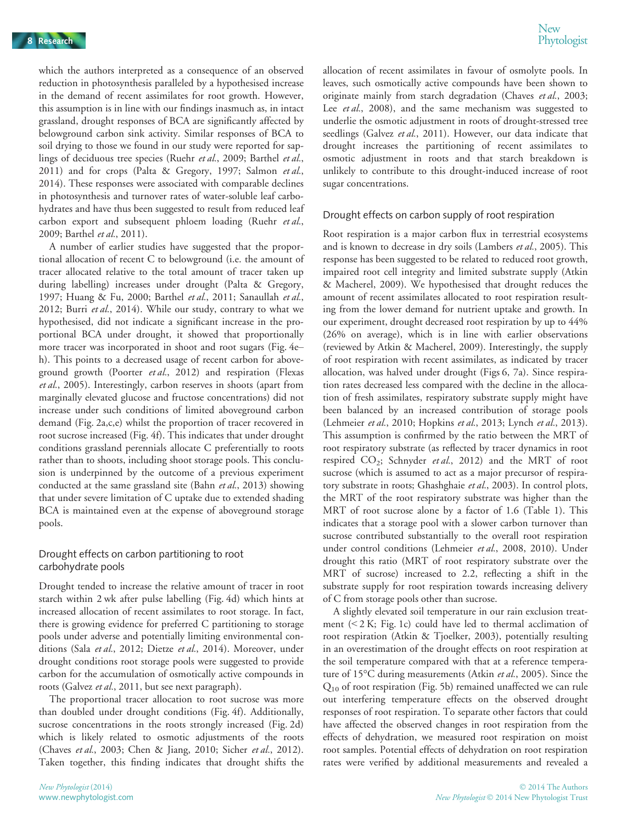which the authors interpreted as a consequence of an observed reduction in photosynthesis paralleled by a hypothesised increase in the demand of recent assimilates for root growth. However, this assumption is in line with our findings inasmuch as, in intact grassland, drought responses of BCA are significantly affected by belowground carbon sink activity. Similar responses of BCA to soil drying to those we found in our study were reported for saplings of deciduous tree species (Ruehr et al., 2009; Barthel et al., 2011) and for crops (Palta & Gregory, 1997; Salmon et al., 2014). These responses were associated with comparable declines in photosynthesis and turnover rates of water-soluble leaf carbohydrates and have thus been suggested to result from reduced leaf carbon export and subsequent phloem loading (Ruehr et al., 2009; Barthel et al., 2011).

A number of earlier studies have suggested that the proportional allocation of recent C to belowground (i.e. the amount of tracer allocated relative to the total amount of tracer taken up during labelling) increases under drought (Palta & Gregory, 1997; Huang & Fu, 2000; Barthel et al., 2011; Sanaullah et al., 2012; Burri et al., 2014). While our study, contrary to what we hypothesised, did not indicate a significant increase in the proportional BCA under drought, it showed that proportionally more tracer was incorporated in shoot and root sugars (Fig. 4e– h). This points to a decreased usage of recent carbon for aboveground growth (Poorter et al., 2012) and respiration (Flexas et al., 2005). Interestingly, carbon reserves in shoots (apart from marginally elevated glucose and fructose concentrations) did not increase under such conditions of limited aboveground carbon demand (Fig. 2a,c,e) whilst the proportion of tracer recovered in root sucrose increased (Fig. 4f). This indicates that under drought conditions grassland perennials allocate C preferentially to roots rather than to shoots, including shoot storage pools. This conclusion is underpinned by the outcome of a previous experiment conducted at the same grassland site (Bahn et al., 2013) showing that under severe limitation of C uptake due to extended shading BCA is maintained even at the expense of aboveground storage pools.

### Drought effects on carbon partitioning to root carbohydrate pools

Drought tended to increase the relative amount of tracer in root starch within 2 wk after pulse labelling (Fig. 4d) which hints at increased allocation of recent assimilates to root storage. In fact, there is growing evidence for preferred C partitioning to storage pools under adverse and potentially limiting environmental conditions (Sala et al., 2012; Dietze et al., 2014). Moreover, under drought conditions root storage pools were suggested to provide carbon for the accumulation of osmotically active compounds in roots (Galvez et al., 2011, but see next paragraph).

The proportional tracer allocation to root sucrose was more than doubled under drought conditions (Fig. 4f). Additionally, sucrose concentrations in the roots strongly increased (Fig. 2d) which is likely related to osmotic adjustments of the roots (Chaves et al., 2003; Chen & Jiang, 2010; Sicher et al., 2012). Taken together, this finding indicates that drought shifts the allocation of recent assimilates in favour of osmolyte pools. In leaves, such osmotically active compounds have been shown to originate mainly from starch degradation (Chaves et al., 2003; Lee et al., 2008), and the same mechanism was suggested to underlie the osmotic adjustment in roots of drought-stressed tree seedlings (Galvez et al., 2011). However, our data indicate that drought increases the partitioning of recent assimilates to osmotic adjustment in roots and that starch breakdown is unlikely to contribute to this drought-induced increase of root sugar concentrations.

#### Drought effects on carbon supply of root respiration

Root respiration is a major carbon flux in terrestrial ecosystems and is known to decrease in dry soils (Lambers et al., 2005). This response has been suggested to be related to reduced root growth, impaired root cell integrity and limited substrate supply (Atkin & Macherel, 2009). We hypothesised that drought reduces the amount of recent assimilates allocated to root respiration resulting from the lower demand for nutrient uptake and growth. In our experiment, drought decreased root respiration by up to 44% (26% on average), which is in line with earlier observations (reviewed by Atkin & Macherel, 2009). Interestingly, the supply of root respiration with recent assimilates, as indicated by tracer allocation, was halved under drought (Figs 6, 7a). Since respiration rates decreased less compared with the decline in the allocation of fresh assimilates, respiratory substrate supply might have been balanced by an increased contribution of storage pools (Lehmeier et al., 2010; Hopkins et al., 2013; Lynch et al., 2013). This assumption is confirmed by the ratio between the MRT of root respiratory substrate (as reflected by tracer dynamics in root respired  $CO_2$ ; Schnyder et al., 2012) and the MRT of root sucrose (which is assumed to act as a major precursor of respiratory substrate in roots; Ghashghaie et al., 2003). In control plots, the MRT of the root respiratory substrate was higher than the MRT of root sucrose alone by a factor of 1.6 (Table 1). This indicates that a storage pool with a slower carbon turnover than sucrose contributed substantially to the overall root respiration under control conditions (Lehmeier et al., 2008, 2010). Under drought this ratio (MRT of root respiratory substrate over the MRT of sucrose) increased to 2.2, reflecting a shift in the substrate supply for root respiration towards increasing delivery of C from storage pools other than sucrose.

A slightly elevated soil temperature in our rain exclusion treatment (< 2 K; Fig. 1c) could have led to thermal acclimation of root respiration (Atkin & Tjoelker, 2003), potentially resulting in an overestimation of the drought effects on root respiration at the soil temperature compared with that at a reference temperature of 15°C during measurements (Atkin et al., 2005). Since the Q10 of root respiration (Fig. 5b) remained unaffected we can rule out interfering temperature effects on the observed drought responses of root respiration. To separate other factors that could have affected the observed changes in root respiration from the effects of dehydration, we measured root respiration on moist root samples. Potential effects of dehydration on root respiration rates were verified by additional measurements and revealed a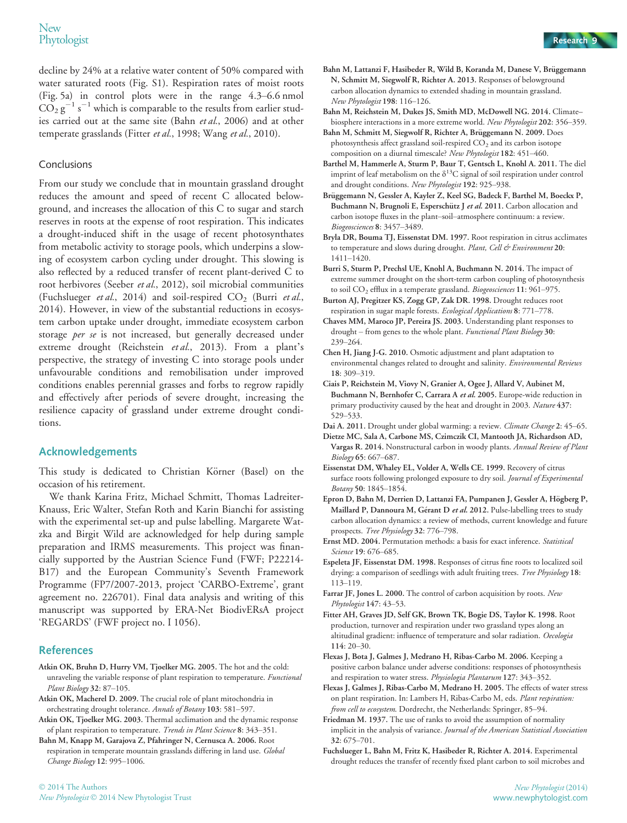decline by 24% at a relative water content of 50% compared with water saturated roots (Fig. S1). Respiration rates of moist roots (Fig. 5a) in control plots were in the range 4.3–6.6 nmol  $CO_2 g^{-1} s^{-1}$  which is comparable to the results from earlier studies carried out at the same site (Bahn et al., 2006) and at other temperate grasslands (Fitter et al., 1998; Wang et al., 2010).

#### Conclusions

From our study we conclude that in mountain grassland drought reduces the amount and speed of recent C allocated belowground, and increases the allocation of this C to sugar and starch reserves in roots at the expense of root respiration. This indicates a drought-induced shift in the usage of recent photosynthates from metabolic activity to storage pools, which underpins a slowing of ecosystem carbon cycling under drought. This slowing is also reflected by a reduced transfer of recent plant-derived C to root herbivores (Seeber et al., 2012), soil microbial communities (Fuchslueger et al., 2014) and soil-respired  $CO<sub>2</sub>$  (Burri et al., 2014). However, in view of the substantial reductions in ecosystem carbon uptake under drought, immediate ecosystem carbon storage per se is not increased, but generally decreased under extreme drought (Reichstein et al., 2013). From a plant's perspective, the strategy of investing C into storage pools under unfavourable conditions and remobilisation under improved conditions enables perennial grasses and forbs to regrow rapidly and effectively after periods of severe drought, increasing the resilience capacity of grassland under extreme drought conditions.

#### Acknowledgements

This study is dedicated to Christian Körner (Basel) on the occasion of his retirement.

We thank Karina Fritz, Michael Schmitt, Thomas Ladreiter-Knauss, Eric Walter, Stefan Roth and Karin Bianchi for assisting with the experimental set-up and pulse labelling. Margarete Watzka and Birgit Wild are acknowledged for help during sample preparation and IRMS measurements. This project was financially supported by the Austrian Science Fund (FWF; P22214- B17) and the European Community's Seventh Framework Programme (FP7/2007-2013, project 'CARBO-Extreme', grant agreement no. 226701). Final data analysis and writing of this manuscript was supported by ERA-Net BiodivERsA project 'REGARDS' (FWF project no. I 1056).

### References

- Atkin OK, Bruhn D, Hurry VM, Tjoelker MG. 2005. The hot and the cold: unraveling the variable response of plant respiration to temperature. Functional Plant Biology 32: 87-105.
- Atkin OK, Macherel D. 2009. The crucial role of plant mitochondria in orchestrating drought tolerance. Annals of Botany 103: 581–597.
- Atkin OK, Tjoelker MG. 2003. Thermal acclimation and the dynamic response of plant respiration to temperature. Trends in Plant Science 8: 343–351.
- Bahn M, Knapp M, Garajova Z, Pfahringer N, Cernusca A. 2006. Root respiration in temperate mountain grasslands differing in land use. Global Change Biology 12: 995–1006.



- Bahn M, Lattanzi F, Hasibeder R, Wild B, Koranda M, Danese V, Brüggemann N, Schmitt M, Siegwolf R, Richter A. 2013. Responses of belowground carbon allocation dynamics to extended shading in mountain grassland. New Phytologist 198: 116–126.
- Bahn M, Reichstein M, Dukes JS, Smith MD, McDowell NG. 2014. Climate– biosphere interactions in a more extreme world. New Phytologist 202: 356–359.
- Bahn M, Schmitt M, Siegwolf R, Richter A, Brüggemann N. 2009. Does photosynthesis affect grassland soil-respired  $CO<sub>2</sub>$  and its carbon isotope composition on a diurnal timescale? New Phytologist 182: 451–460.
- Barthel M, Hammerle A, Sturm P, Baur T, Gentsch L, Knohl A. 2011. The diel imprint of leaf metabolism on the  $\delta^{13}$ C signal of soil respiration under control and drought conditions. New Phytologist 192: 925–938.
- Brüggemann N, Gessler A, Kayler Z, Keel SG, Badeck F, Barthel M, Boeckx P, Buchmann N, Brugnoli E, Esperschütz J et al. 2011. Carbon allocation and carbon isotope fluxes in the plant–soil–atmosphere continuum: a review. Biogeosciences 8: 3457–3489.
- Bryla DR, Bouma TJ, Eissenstat DM. 1997. Root respiration in citrus acclimates to temperature and slows during drought. Plant, Cell & Environment 20: 1411–1420.
- Burri S, Sturm P, Prechsl UE, Knohl A, Buchmann N. 2014. The impact of extreme summer drought on the short-term carbon coupling of photosynthesis to soil CO<sub>2</sub> efflux in a temperate grassland. Biogeosciences 11: 961-975.
- Burton AJ, Pregitzer KS, Zogg GP, Zak DR. 1998. Drought reduces root respiration in sugar maple forests. Ecological Applications 8: 771–778.
- Chaves MM, Maroco JP, Pereira JS. 2003. Understanding plant responses to drought – from genes to the whole plant. Functional Plant Biology 30: 239–264.
- Chen H, Jiang J-G. 2010. Osmotic adjustment and plant adaptation to environmental changes related to drought and salinity. Environmental Reviews 18: 309–319.
- Ciais P, Reichstein M, Viovy N, Granier A, Ogee J, Allard V, Aubinet M, Buchmann N, Bernhofer C, Carrara A et al. 2005. Europe-wide reduction in primary productivity caused by the heat and drought in 2003. Nature 437: 529–533.
- Dai A. 2011. Drought under global warming: a review. Climate Change 2: 45-65.
- Dietze MC, Sala A, Carbone MS, Czimczik CI, Mantooth JA, Richardson AD, Vargas R. 2014. Nonstructural carbon in woody plants. Annual Review of Plant Biology 65: 667–687.
- Eissenstat DM, Whaley EL, Volder A, Wells CE. 1999. Recovery of citrus surface roots following prolonged exposure to dry soil. Journal of Experimental Botany 50: 1845–1854.
- Epron D, Bahn M, Derrien D, Lattanzi FA, Pumpanen J, Gessler A, Högberg P, Maillard P, Dannoura M, Gérant D et al. 2012. Pulse-labelling trees to study carbon allocation dynamics: a review of methods, current knowledge and future prospects. Tree Physiology 32: 776–798.
- Ernst MD. 2004. Permutation methods: a basis for exact inference. Statistical Science 19: 676–685.
- Espeleta JF, Eissenstat DM. 1998. Responses of citrus fine roots to localized soil drying: a comparison of seedlings with adult fruiting trees. Tree Physiology 18: 113–119.
- Farrar JF, Jones L. 2000. The control of carbon acquisition by roots. New Phytologist 147: 43-53.
- Fitter AH, Graves JD, Self GK, Brown TK, Bogie DS, Taylor K. 1998. Root production, turnover and respiration under two grassland types along an altitudinal gradient: influence of temperature and solar radiation. Oecologia 114: 20–30.
- Flexas J, Bota J, Galmes J, Medrano H, Ribas-Carbo M. 2006. Keeping a positive carbon balance under adverse conditions: responses of photosynthesis and respiration to water stress. Physiologia Plantarum 127: 343–352.
- Flexas J, Galmes J, Ribas-Carbo M, Medrano H. 2005. The effects of water stress on plant respiration. In: Lambers H, Ribas-Carbo M, eds. Plant respiration: from cell to ecosystem. Dordrecht, the Netherlands: Springer, 85-94.
- Friedman M. 1937. The use of ranks to avoid the assumption of normality implicit in the analysis of variance. Journal of the American Statistical Association 32: 675–701.
- Fuchslueger L, Bahn M, Fritz K, Hasibeder R, Richter A. 2014. Experimental drought reduces the transfer of recently fixed plant carbon to soil microbes and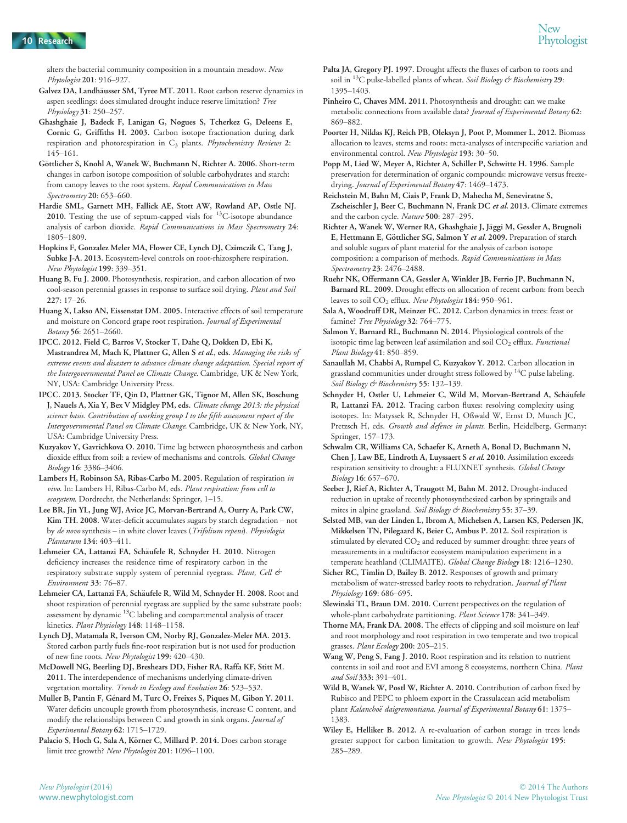alters the bacterial community composition in a mountain meadow. New Phytologist 201: 916–927.

- Galvez DA, Landhäusser SM, Tyree MT. 2011. Root carbon reserve dynamics in aspen seedlings: does simulated drought induce reserve limitation? Tree Physiology 31: 250–257.
- Ghashghaie J, Badeck F, Lanigan G, Nogues S, Tcherkez G, Deleens E, Cornic G, Griffiths H. 2003. Carbon isotope fractionation during dark respiration and photorespiration in  $C_3$  plants. Phytochemistry Reviews 2: 145–161.
- Göttlicher S, Knohl A, Wanek W, Buchmann N, Richter A. 2006. Short-term changes in carbon isotope composition of soluble carbohydrates and starch: from canopy leaves to the root system. Rapid Communications in Mass Spectrometry 20: 653–660.
- Hardie SML, Garnett MH, Fallick AE, Stott AW, Rowland AP, Ostle NJ. 2010. Testing the use of septum-capped vials for  $^{13}$ C-isotope abundance analysis of carbon dioxide. Rapid Communications in Mass Spectrometry 24: 1805–1809.
- Hopkins F, Gonzalez Meler MA, Flower CE, Lynch DJ, Czimczik C, Tang J, Subke J-A. 2013. Ecosystem-level controls on root-rhizosphere respiration. New Phytologist 199: 339–351.
- Huang B, Fu J. 2000. Photosynthesis, respiration, and carbon allocation of two cool-season perennial grasses in response to surface soil drying. Plant and Soil 227: 17–26.
- Huang X, Lakso AN, Eissenstat DM. 2005. Interactive effects of soil temperature and moisture on Concord grape root respiration. Journal of Experimental Botany 56: 2651–2660.
- IPCC. 2012. Field C, Barros V, Stocker T, Dahe Q, Dokken D, Ebi K, Mastrandrea M, Mach K, Plattner G, Allen S et al., eds. Managing the risks of extreme events and disasters to advance climate change adaptation. Special report of the Intergovernmental Panel on Climate Change. Cambridge, UK & New York, NY, USA: Cambridge University Press.
- IPCC. 2013. Stocker TF, Qin D, Plattner GK, Tignor M, Allen SK, Boschung J, Nauels A, Xia Y, Bex V Midgley PM, eds. Climate change 2013: the physical science basis. Contribution of working group I to the fifth assessment report of the Intergovernmental Panel on Climate Change. Cambridge, UK & New York, NY, USA: Cambridge University Press.
- Kuzyakov Y, Gavrichkova O. 2010. Time lag between photosynthesis and carbon dioxide efflux from soil: a review of mechanisms and controls. Global Change Biology 16: 3386–3406.
- Lambers H, Robinson SA, Ribas-Carbo M. 2005. Regulation of respiration in vivo. In: Lambers H, Ribas-Carbo M, eds. Plant respiration: from cell to ecosystem. Dordrecht, the Netherlands: Springer, 1–15.
- Lee BR, Jin YL, Jung WJ, Avice JC, Morvan-Bertrand A, Ourry A, Park CW, Kim TH. 2008. Water-deficit accumulates sugars by starch degradation – not by de novo synthesis – in white clover leaves (Trifolium repens). Physiologia Plantarum 134: 403–411.
- Lehmeier CA, Lattanzi FA, Schäufele R, Schnyder H. 2010. Nitrogen deficiency increases the residence time of respiratory carbon in the respiratory substrate supply system of perennial ryegrass. Plant, Cell & Environment 33: 76–87.
- Lehmeier CA, Lattanzi FA, Schäufele R, Wild M, Schnyder H. 2008. Root and shoot respiration of perennial ryegrass are supplied by the same substrate pools: assessment by dynamic 13C labeling and compartmental analysis of tracer kinetics. Plant Physiology 148: 1148-1158.
- Lynch DJ, Matamala R, Iverson CM, Norby RJ, Gonzalez-Meler MA. 2013. Stored carbon partly fuels fine-root respiration but is not used for production of new fine roots. New Phytologist 199: 420–430.
- McDowell NG, Beerling DJ, Breshears DD, Fisher RA, Raffa KF, Stitt M. 2011. The interdependence of mechanisms underlying climate-driven vegetation mortality. Trends in Ecology and Evolution 26: 523–532.
- Muller B, Pantin F, Génard M, Turc O, Freixes S, Piques M, Gibon Y. 2011. Water deficits uncouple growth from photosynthesis, increase C content, and modify the relationships between C and growth in sink organs. Journal of Experimental Botany 62: 1715–1729.
- Palacio S, Hoch G, Sala A, Körner C, Millard P. 2014. Does carbon storage limit tree growth? New Phytologist 201: 1096-1100.
- Palta JA, Gregory PJ. 1997. Drought affects the fluxes of carbon to roots and soil in  $^{13}$ C pulse-labelled plants of wheat. Soil Biology & Biochemistry 29: 1395–1403.
- Pinheiro C, Chaves MM. 2011. Photosynthesis and drought: can we make metabolic connections from available data? Journal of Experimental Botany 62: 869–882.
- Poorter H, Niklas KJ, Reich PB, Oleksyn J, Poot P, Mommer L. 2012. Biomass allocation to leaves, stems and roots: meta-analyses of interspecific variation and environmental control. New Phytologist 193: 30–50.
- Popp M, Lied W, Meyer A, Richter A, Schiller P, Schwitte H. 1996. Sample preservation for determination of organic compounds: microwave versus freezedrying. Journal of Experimental Botany 47: 1469–1473.
- Reichstein M, Bahn M, Ciais P, Frank D, Mahecha M, Seneviratne S, Zscheischler J, Beer C, Buchmann N, Frank DC et al. 2013. Climate extremes and the carbon cycle. Nature 500: 287–295.
- Richter A, Wanek W, Werner RA, Ghashghaie J, Jäggi M, Gessler A, Brugnoli E, Hettmann E, Göttlicher SG, Salmon Y et al. 2009. Preparation of starch and soluble sugars of plant material for the analysis of carbon isotope composition: a comparison of methods. Rapid Communications in Mass Spectrometry 23: 2476–2488.
- Ruehr NK, Offermann CA, Gessler A, Winkler JB, Ferrio JP, Buchmann N, Barnard RL. 2009. Drought effects on allocation of recent carbon: from beech leaves to soil CO<sub>2</sub> efflux. New Phytologist 184: 950-961.
- Sala A, Woodruff DR, Meinzer FC. 2012. Carbon dynamics in trees: feast or famine? Tree Physiology 32: 764-775.
- Salmon Y, Barnard RL, Buchmann N. 2014. Physiological controls of the isotopic time lag between leaf assimilation and soil  $CO<sub>2</sub>$  efflux. Functional Plant Biology 41: 850–859.
- Sanaullah M, Chabbi A, Rumpel C, Kuzyakov Y. 2012. Carbon allocation in grassland communities under drought stress followed by 14C pulse labeling. Soil Biology & Biochemistry 55: 132-139.
- Schnyder H, Ostler U, Lehmeier C, Wild M, Morvan-Bertrand A, Schäufele R, Lattanzi FA. 2012. Tracing carbon fluxes: resolving complexity using isotopes. In: Matyssek R, Schnyder H, Oßwald W, Ernst D, Munch JC, Pretzsch H, eds. Growth and defence in plants. Berlin, Heidelberg, Germany: Springer, 157–173.
- Schwalm CR, Williams CA, Schaefer K, Arneth A, Bonal D, Buchmann N, Chen J, Law BE, Lindroth A, Luyssaert S et al. 2010. Assimilation exceeds respiration sensitivity to drought: a FLUXNET synthesis. Global Change Biology 16: 657–670.
- Seeber J, Rief A, Richter A, Traugott M, Bahn M. 2012. Drought-induced reduction in uptake of recently photosynthesized carbon by springtails and mites in alpine grassland. Soil Biology & Biochemistry 55: 37-39.
- Selsted MB, van der Linden L, Ibrom A, Michelsen A, Larsen KS, Pedersen JK, Mikkelsen TN, Pilegaard K, Beier C, Ambus P. 2012. Soil respiration is stimulated by elevated  $CO<sub>2</sub>$  and reduced by summer drought: three years of measurements in a multifactor ecosystem manipulation experiment in a temperate heathland (CLIMAITE). Global Change Biology 18: 1216-1230.
- Sicher RC, Timlin D, Bailey B. 2012. Responses of growth and primary metabolism of water-stressed barley roots to rehydration. Journal of Plant Physiology 169: 686–695.
- Slewinski TL, Braun DM. 2010. Current perspectives on the regulation of whole-plant carbohydrate partitioning. Plant Science 178: 341-349.
- Thorne MA, Frank DA. 2008. The effects of clipping and soil moisture on leaf and root morphology and root respiration in two temperate and two tropical grasses. Plant Ecology 200: 205-215.
- Wang W, Peng S, Fang J. 2010. Root respiration and its relation to nutrient contents in soil and root and EVI among 8 ecosystems, northern China. Plant and Soil 333: 391–401.
- Wild B, Wanek W, Postl W, Richter A. 2010. Contribution of carbon fixed by Rubisco and PEPC to phloem export in the Crassulacean acid metabolism plant Kalanchoë daigremontiana. Journal of Experimental Botany 61: 1375– 1383.
- Wiley E, Helliker B. 2012. A re-evaluation of carbon storage in trees lends greater support for carbon limitation to growth. New Phytologist 195: 285–289.